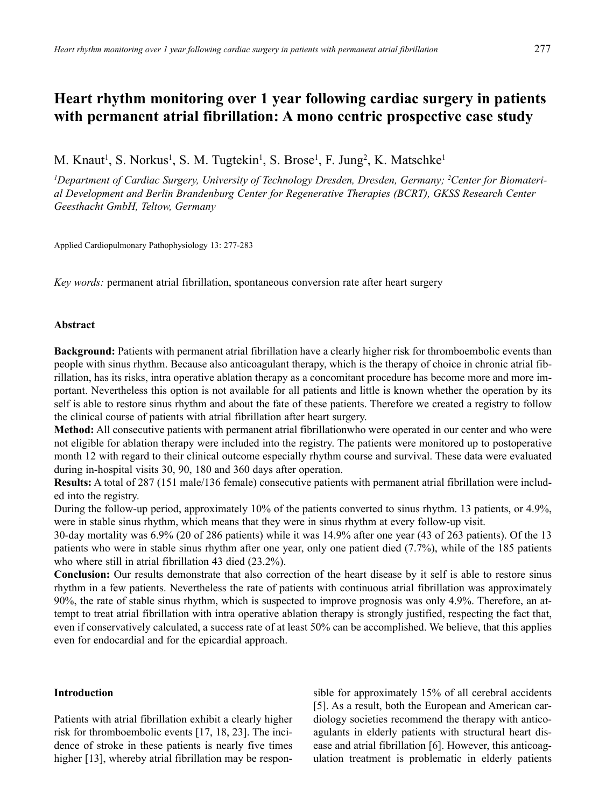# **Heart rhythm monitoring over 1 year following cardiac surgery in patients with permanent atrial fibrillation: A mono centric prospective case study**

M. Knaut<sup>1</sup>, S. Norkus<sup>1</sup>, S. M. Tugtekin<sup>1</sup>, S. Brose<sup>1</sup>, F. Jung<sup>2</sup>, K. Matschke<sup>1</sup>

*1 Department of Cardiac Surgery, University of Technology Dresden, Dresden, Germany; 2 Center for Biomaterial Development and Berlin Brandenburg Center for Regenerative Therapies (BCRT), GKSS Research Center Geesthacht GmbH, Teltow, Germany*

Applied Cardiopulmonary Pathophysiology 13: 277-283

*Key words:* permanent atrial fibrillation, spontaneous conversion rate after heart surgery

## **Abstract**

**Background:** Patients with permanent atrial fibrillation have a clearly higher risk for thromboembolic events than people with sinus rhythm. Because also anticoagulant therapy, which is the therapy of choice in chronic atrial fibrillation, has its risks, intra operative ablation therapy as a concomitant procedure has become more and more important. Nevertheless this option is not available for all patients and little is known whether the operation by its self is able to restore sinus rhythm and about the fate of these patients. Therefore we created a registry to follow the clinical course of patients with atrial fibrillation after heart surgery.

**Method:** All consecutive patients with permanent atrial fibrillationwho were operated in our center and who were not eligible for ablation therapy were included into the registry. The patients were monitored up to postoperative month 12 with regard to their clinical outcome especially rhythm course and survival. These data were evaluated during in-hospital visits 30, 90, 180 and 360 days after operation.

**Results:** A total of 287 (151 male/136 female) consecutive patients with permanent atrial fibrillation were included into the registry.

During the follow-up period, approximately 10% of the patients converted to sinus rhythm. 13 patients, or 4.9%, were in stable sinus rhythm, which means that they were in sinus rhythm at every follow-up visit.

30-day mortality was 6.9% (20 of 286 patients) while it was 14.9% after one year (43 of 263 patients). Of the 13 patients who were in stable sinus rhythm after one year, only one patient died (7.7%), while of the 185 patients who where still in atrial fibrillation 43 died (23.2%).

**Conclusion:** Our results demonstrate that also correction of the heart disease by it self is able to restore sinus rhythm in a few patients. Nevertheless the rate of patients with continuous atrial fibrillation was approximately 90%, the rate of stable sinus rhythm, which is suspected to improve prognosis was only 4.9%. Therefore, an attempt to treat atrial fibrillation with intra operative ablation therapy is strongly justified, respecting the fact that, even if conservatively calculated, a success rate of at least 50% can be accomplished. We believe, that this applies even for endocardial and for the epicardial approach.

# **Introduction**

Patients with atrial fibrillation exhibit a clearly higher risk for thromboembolic events [17, 18, 23]. The incidence of stroke in these patients is nearly five times higher [13], whereby atrial fibrillation may be responsible for approximately 15% of all cerebral accidents [5]. As a result, both the European and American cardiology societies recommend the therapy with anticoagulants in elderly patients with structural heart disease and atrial fibrillation [6]. However, this anticoagulation treatment is problematic in elderly patients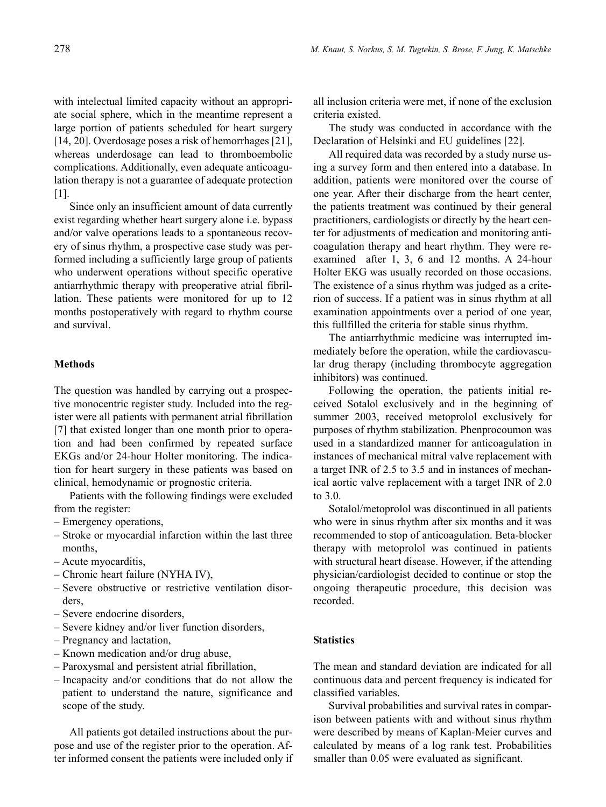with intelectual limited capacity without an appropriate social sphere, which in the meantime represent a large portion of patients scheduled for heart surgery [14, 20]. Overdosage poses a risk of hemorrhages [21], whereas underdosage can lead to thromboembolic complications. Additionally, even adequate anticoagulation therapy is not a guarantee of adequate protection [1].

Since only an insufficient amount of data currently exist regarding whether heart surgery alone i.e. bypass and/or valve operations leads to a spontaneous recovery of sinus rhythm, a prospective case study was performed including a sufficiently large group of patients who underwent operations without specific operative antiarrhythmic therapy with preoperative atrial fibrillation. These patients were monitored for up to 12 months postoperatively with regard to rhythm course and survival.

## **Methods**

The question was handled by carrying out a prospective monocentric register study. Included into the register were all patients with permanent atrial fibrillation [7] that existed longer than one month prior to operation and had been confirmed by repeated surface EKGs and/or 24-hour Holter monitoring. The indication for heart surgery in these patients was based on clinical, hemodynamic or prognostic criteria.

Patients with the following findings were excluded from the register:

- Emergency operations,
- Stroke or myocardial infarction within the last three months,
- Acute myocarditis,
- Chronic heart failure (NYHA IV),
- Severe obstructive or restrictive ventilation disorders,
- Severe endocrine disorders,
- Severe kidney and/or liver function disorders,
- Pregnancy and lactation,
- Known medication and/or drug abuse,
- Paroxysmal and persistent atrial fibrillation,
- Incapacity and/or conditions that do not allow the patient to understand the nature, significance and scope of the study.

All patients got detailed instructions about the purpose and use of the register prior to the operation. After informed consent the patients were included only if all inclusion criteria were met, if none of the exclusion criteria existed.

The study was conducted in accordance with the Declaration of Helsinki and EU guidelines [22].

All required data was recorded by a study nurse using a survey form and then entered into a database. In addition, patients were monitored over the course of one year. After their discharge from the heart center, the patients treatment was continued by their general practitioners, cardiologists or directly by the heart center for adjustments of medication and monitoring anticoagulation therapy and heart rhythm. They were reexamined after 1, 3, 6 and 12 months. A 24-hour Holter EKG was usually recorded on those occasions. The existence of a sinus rhythm was judged as a criterion of success. If a patient was in sinus rhythm at all examination appointments over a period of one year, this fullfilled the criteria for stable sinus rhythm.

The antiarrhythmic medicine was interrupted immediately before the operation, while the cardiovascular drug therapy (including thrombocyte aggregation inhibitors) was continued.

Following the operation, the patients initial received Sotalol exclusively and in the beginning of summer 2003, received metoprolol exclusively for purposes of rhythm stabilization. Phenprocoumon was used in a standardized manner for anticoagulation in instances of mechanical mitral valve replacement with a target INR of 2.5 to 3.5 and in instances of mechanical aortic valve replacement with a target INR of 2.0 to 3.0.

Sotalol/metoprolol was discontinued in all patients who were in sinus rhythm after six months and it was recommended to stop of anticoagulation. Beta-blocker therapy with metoprolol was continued in patients with structural heart disease. However, if the attending physician/cardiologist decided to continue or stop the ongoing therapeutic procedure, this decision was recorded.

## **Statistics**

The mean and standard deviation are indicated for all continuous data and percent frequency is indicated for classified variables.

Survival probabilities and survival rates in comparison between patients with and without sinus rhythm were described by means of Kaplan-Meier curves and calculated by means of a log rank test. Probabilities smaller than 0.05 were evaluated as significant.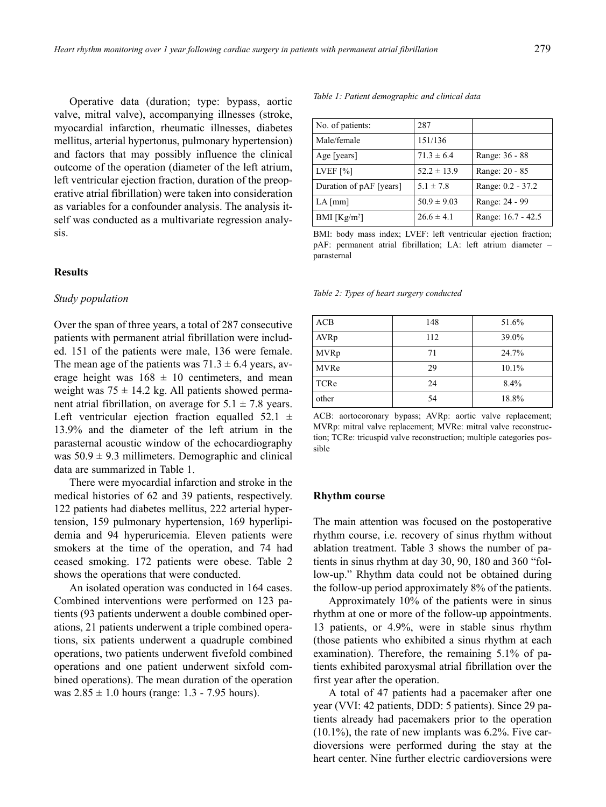Operative data (duration; type: bypass, aortic valve, mitral valve), accompanying illnesses (stroke, myocardial infarction, rheumatic illnesses, diabetes mellitus, arterial hypertonus, pulmonary hypertension) and factors that may possibly influence the clinical outcome of the operation (diameter of the left atrium, left ventricular ejection fraction, duration of the preoperative atrial fibrillation) were taken into consideration as variables for a confounder analysis. The analysis itself was conducted as a multivariate regression analysis.

# **Results**

## *Study population*

Over the span of three years, a total of 287 consecutive patients with permanent atrial fibrillation were included. 151 of the patients were male, 136 were female. The mean age of the patients was  $71.3 \pm 6.4$  years, average height was  $168 \pm 10$  centimeters, and mean weight was  $75 \pm 14.2$  kg. All patients showed permanent atrial fibrillation, on average for  $5.1 \pm 7.8$  years. Left ventricular ejection fraction equalled  $52.1 \pm$ 13.9% and the diameter of the left atrium in the parasternal acoustic window of the echocardiography was  $50.9 \pm 9.3$  millimeters. Demographic and clinical data are summarized in Table 1.

There were myocardial infarction and stroke in the medical histories of 62 and 39 patients, respectively. 122 patients had diabetes mellitus, 222 arterial hypertension, 159 pulmonary hypertension, 169 hyperlipidemia and 94 hyperuricemia. Eleven patients were smokers at the time of the operation, and 74 had ceased smoking. 172 patients were obese. Table 2 shows the operations that were conducted.

An isolated operation was conducted in 164 cases. Combined interventions were performed on 123 patients (93 patients underwent a double combined operations, 21 patients underwent a triple combined operations, six patients underwent a quadruple combined operations, two patients underwent fivefold combined operations and one patient underwent sixfold combined operations). The mean duration of the operation was  $2.85 \pm 1.0$  hours (range: 1.3 - 7.95 hours).

*Table 1: Patient demographic and clinical data*

| No. of patients:        | 287             |                    |
|-------------------------|-----------------|--------------------|
| Male/female             | 151/136         |                    |
| Age [years]             | $71.3 \pm 6.4$  | Range: 36 - 88     |
| LVEF $[%]$              | $52.2 \pm 13.9$ | Range: 20 - 85     |
| Duration of pAF [years] | $5.1 \pm 7.8$   | Range: 0.2 - 37.2  |
| $LA$ [mm]               | $50.9 \pm 9.03$ | Range: 24 - 99     |
| BMI $[Kg/m^2]$          | $26.6 \pm 4.1$  | Range: 16.7 - 42.5 |

BMI: body mass index; LVEF: left ventricular ejection fraction; pAF: permanent atrial fibrillation; LA: left atrium diameter – parasternal

*Table 2: Types of heart surgery conducted*

| ACB         | 148 | 51.6% |
|-------------|-----|-------|
| AVRp        | 112 | 39.0% |
| <b>MVRp</b> | 71  | 24.7% |
| <b>MVRe</b> | 29  | 10.1% |
| TCRe        | 24  | 8.4%  |
| other       | 54  | 18.8% |

ACB: aortocoronary bypass; AVRp: aortic valve replacement; MVRp: mitral valve replacement; MVRe: mitral valve reconstruction; TCRe: tricuspid valve reconstruction; multiple categories possible

#### **Rhythm course**

The main attention was focused on the postoperative rhythm course, i.e. recovery of sinus rhythm without ablation treatment. Table 3 shows the number of patients in sinus rhythm at day 30, 90, 180 and 360 "follow-up." Rhythm data could not be obtained during the follow-up period approximately 8% of the patients.

Approximately 10% of the patients were in sinus rhythm at one or more of the follow-up appointments. 13 patients, or 4.9%, were in stable sinus rhythm (those patients who exhibited a sinus rhythm at each examination). Therefore, the remaining 5.1% of patients exhibited paroxysmal atrial fibrillation over the first year after the operation.

A total of 47 patients had a pacemaker after one year (VVI: 42 patients, DDD: 5 patients). Since 29 patients already had pacemakers prior to the operation  $(10.1\%)$ , the rate of new implants was 6.2%. Five cardioversions were performed during the stay at the heart center. Nine further electric cardioversions were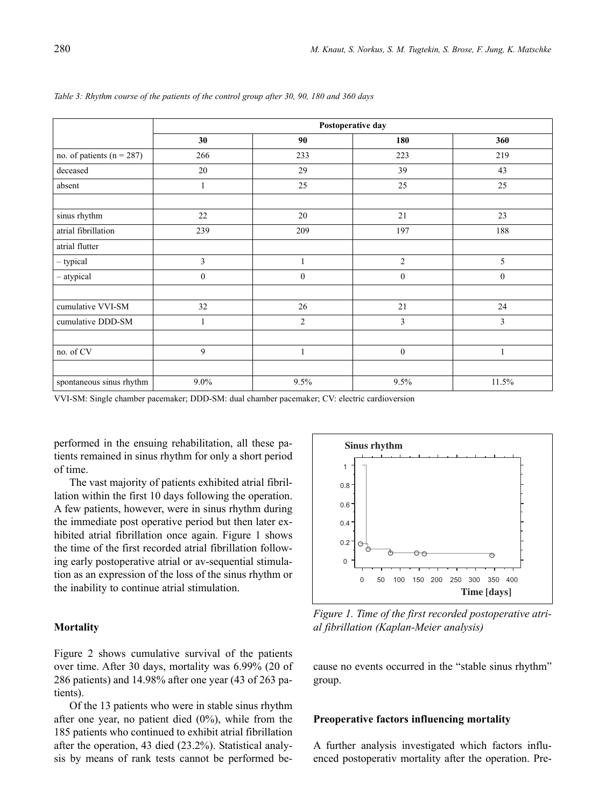|                               | Postoperative day |                  |                  |                  |  |
|-------------------------------|-------------------|------------------|------------------|------------------|--|
|                               | 30                | 90               | 180              | 360              |  |
| no. of patients ( $n = 287$ ) | 266               | 233              | 223              | 219              |  |
| deceased                      | 20                | 29               | 39               | 43               |  |
| absent                        | 1                 | 25               | 25               | 25               |  |
| sinus rhythm                  | 22                | 20               | 21               | 23               |  |
| atrial fibrillation           | 239               | 209              | 197              | 188              |  |
| atrial flutter                |                   |                  |                  |                  |  |
| - typical                     | 3                 | 1                | $\overline{2}$   | 5                |  |
| - atypical                    | $\boldsymbol{0}$  | $\boldsymbol{0}$ | $\boldsymbol{0}$ | $\boldsymbol{0}$ |  |
| cumulative VVI-SM             | 32                | 26               | 21               | 24               |  |
| cumulative DDD-SM             | 1                 | $\overline{2}$   | 3                | 3                |  |
| no. of CV                     | 9                 | 1                | $\boldsymbol{0}$ | $\mathbf{1}$     |  |
|                               |                   |                  |                  |                  |  |
| spontaneous sinus rhythm      | $9.0\%$           | 9.5%             | 9.5%             | 11.5%            |  |

*Table 3: Rhythm course of the patients of the control group after 30, 90, 180 and 360 days*

VVI-SM: Single chamber pacemaker; DDD-SM: dual chamber pacemaker; CV: electric cardioversion

performed in the ensuing rehabilitation, all these patients remained in sinus rhythm for only a short period of time.

The vast majority of patients exhibited atrial fibrillation within the first 10 days following the operation. A few patients, however, were in sinus rhythm during the immediate post operative period but then later exhibited atrial fibrillation once again. Figure 1 shows the time of the first recorded atrial fibrillation following early postoperative atrial or av-sequential stimulation as an expression of the loss of the sinus rhythm or the inability to continue atrial stimulation.

# **Mortality**

Figure 2 shows cumulative survival of the patients over time. After 30 days, mortality was 6.99% (20 of 286 patients) and 14.98% after one year (43 of 263 patients).

Of the 13 patients who were in stable sinus rhythm after one year, no patient died (0%), while from the 185 patients who continued to exhibit atrial fibrillation after the operation, 43 died (23.2%). Statistical analysis by means of rank tests cannot be performed be-



*Figure 1. Time of the first recorded postoperative atrial fibrillation (Kaplan-Meier analysis)*

cause no events occurred in the "stable sinus rhythm" group.

### **Preoperative factors influencing mortality**

A further analysis investigated which factors influenced postoperativ mortality after the operation. Pre-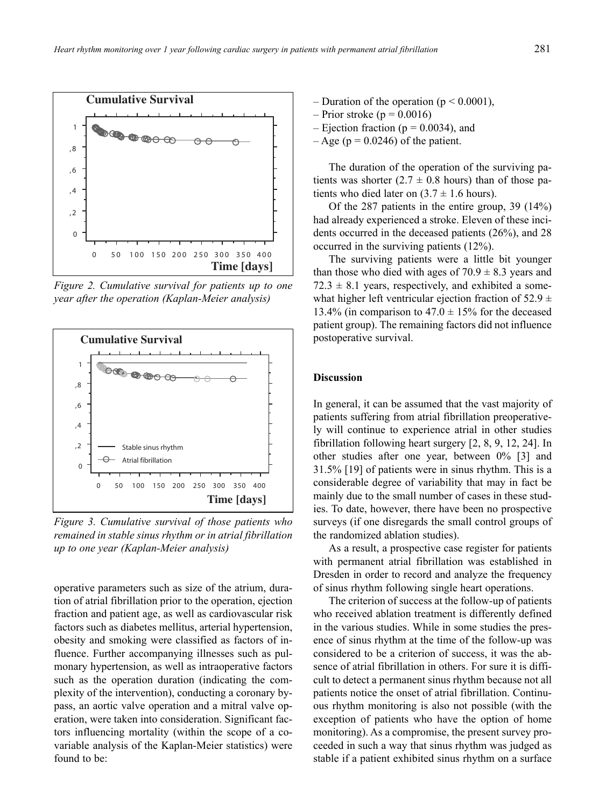

*Figure 2. Cumulative survival for patients up to one year after the operation (Kaplan-Meier analysis)*



*Figure 3. Cumulative survival of those patients who remained in stable sinus rhythm or in atrial fibrillation up to one year (Kaplan-Meier analysis)*

operative parameters such as size of the atrium, duration of atrial fibrillation prior to the operation, ejection fraction and patient age, as well as cardiovascular risk factors such as diabetes mellitus, arterial hypertension, obesity and smoking were classified as factors of influence. Further accompanying illnesses such as pulmonary hypertension, as well as intraoperative factors such as the operation duration (indicating the complexity of the intervention), conducting a coronary bypass, an aortic valve operation and a mitral valve operation, were taken into consideration. Significant factors influencing mortality (within the scope of a covariable analysis of the Kaplan-Meier statistics) were found to be:

- Duration of the operation ( $p < 0.0001$ ),
- $-$  Prior stroke (p = 0.0016)
- Ejection fraction ( $p = 0.0034$ ), and
- $-$  Age (p = 0.0246) of the patient.

The duration of the operation of the surviving patients was shorter  $(2.7 \pm 0.8 \text{ hours})$  than of those patients who died later on  $(3.7 \pm 1.6 \text{ hours})$ .

Of the 287 patients in the entire group, 39 (14%) had already experienced a stroke. Eleven of these incidents occurred in the deceased patients (26%), and 28 occurred in the surviving patients (12%).

The surviving patients were a little bit younger than those who died with ages of  $70.9 \pm 8.3$  years and  $72.3 \pm 8.1$  years, respectively, and exhibited a somewhat higher left ventricular ejection fraction of  $52.9 \pm$ 13.4% (in comparison to  $47.0 \pm 15$ % for the deceased patient group). The remaining factors did not influence postoperative survival.

# **Discussion**

In general, it can be assumed that the vast majority of patients suffering from atrial fibrillation preoperatively will continue to experience atrial in other studies fibrillation following heart surgery [2, 8, 9, 12, 24]. In other studies after one year, between 0% [3] and 31.5% [19] of patients were in sinus rhythm. This is a considerable degree of variability that may in fact be mainly due to the small number of cases in these studies. To date, however, there have been no prospective surveys (if one disregards the small control groups of the randomized ablation studies).

As a result, a prospective case register for patients with permanent atrial fibrillation was established in Dresden in order to record and analyze the frequency of sinus rhythm following single heart operations.

The criterion of success at the follow-up of patients who received ablation treatment is differently defined in the various studies. While in some studies the presence of sinus rhythm at the time of the follow-up was considered to be a criterion of success, it was the absence of atrial fibrillation in others. For sure it is difficult to detect a permanent sinus rhythm because not all patients notice the onset of atrial fibrillation. Continuous rhythm monitoring is also not possible (with the exception of patients who have the option of home monitoring). As a compromise, the present survey proceeded in such a way that sinus rhythm was judged as stable if a patient exhibited sinus rhythm on a surface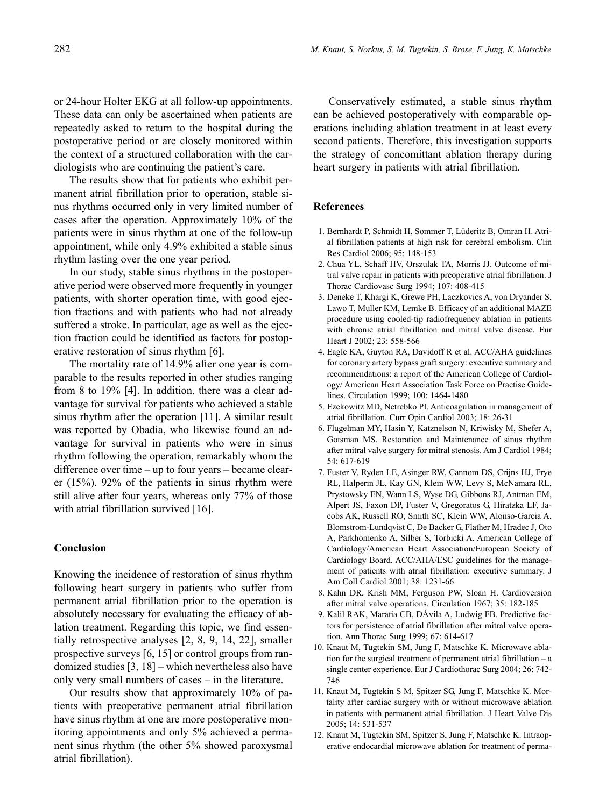or 24-hour Holter EKG at all follow-up appointments. These data can only be ascertained when patients are repeatedly asked to return to the hospital during the postoperative period or are closely monitored within the context of a structured collaboration with the cardiologists who are continuing the patient's care.

The results show that for patients who exhibit permanent atrial fibrillation prior to operation, stable sinus rhythms occurred only in very limited number of cases after the operation. Approximately 10% of the patients were in sinus rhythm at one of the follow-up appointment, while only 4.9% exhibited a stable sinus rhythm lasting over the one year period.

In our study, stable sinus rhythms in the postoperative period were observed more frequently in younger patients, with shorter operation time, with good ejection fractions and with patients who had not already suffered a stroke. In particular, age as well as the ejection fraction could be identified as factors for postoperative restoration of sinus rhythm [6].

The mortality rate of 14.9% after one year is comparable to the results reported in other studies ranging from 8 to 19% [4]. In addition, there was a clear advantage for survival for patients who achieved a stable sinus rhythm after the operation [11]. A similar result was reported by Obadia, who likewise found an advantage for survival in patients who were in sinus rhythm following the operation, remarkably whom the difference over time – up to four years – became clearer (15%). 92% of the patients in sinus rhythm were still alive after four years, whereas only 77% of those with atrial fibrillation survived [16].

#### **Conclusion**

Knowing the incidence of restoration of sinus rhythm following heart surgery in patients who suffer from permanent atrial fibrillation prior to the operation is absolutely necessary for evaluating the efficacy of ablation treatment. Regarding this topic, we find essentially retrospective analyses [2, 8, 9, 14, 22], smaller prospective surveys [6, 15] or control groups from randomized studies [3, 18] – which nevertheless also have only very small numbers of cases – in the literature.

Our results show that approximately 10% of patients with preoperative permanent atrial fibrillation have sinus rhythm at one are more postoperative monitoring appointments and only 5% achieved a permanent sinus rhythm (the other 5% showed paroxysmal atrial fibrillation).

Conservatively estimated, a stable sinus rhythm can be achieved postoperatively with comparable operations including ablation treatment in at least every second patients. Therefore, this investigation supports the strategy of concomittant ablation therapy during heart surgery in patients with atrial fibrillation.

#### **References**

- 1. Bernhardt P, Schmidt H, Sommer T, Lüderitz B, Omran H. Atrial fibrillation patients at high risk for cerebral embolism. Clin Res Cardiol 2006; 95: 148-153
- 2. Chua YL, Schaff HV, Orszulak TA, Morris JJ. Outcome of mitral valve repair in patients with preoperative atrial fibrillation. J Thorac Cardiovasc Surg 1994; 107: 408-415
- 3. Deneke T, Khargi K, Grewe PH, Laczkovics A, von Dryander S, Lawo T, Muller KM, Lemke B. Efficacy of an additional MAZE procedure using cooled-tip radiofrequency ablation in patients with chronic atrial fibrillation and mitral valve disease. Eur Heart J 2002; 23: 558-566
- 4. Eagle KA, Guyton RA, Davidoff R et al. ACC/AHA guidelines for coronary artery bypass graft surgery: executive summary and recommendations: a report of the American College of Cardiology/ American Heart Association Task Force on Practise Guidelines. Circulation 1999; 100: 1464-1480
- 5. Ezekowitz MD, Netrebko PI. Anticoagulation in management of atrial fibrillation. Curr Opin Cardiol 2003; 18: 26-31
- 6. Flugelman MY, Hasin Y, Katznelson N, Kriwisky M, Shefer A, Gotsman MS. Restoration and Maintenance of sinus rhythm after mitral valve surgery for mitral stenosis. Am J Cardiol 1984; 54: 617-619
- 7. Fuster V, Ryden LE, Asinger RW, Cannom DS, Crijns HJ, Frye RL, Halperin JL, Kay GN, Klein WW, Levy S, McNamara RL, Prystowsky EN, Wann LS, Wyse DG, Gibbons RJ, Antman EM, Alpert JS, Faxon DP, Fuster V, Gregoratos G, Hiratzka LF, Jacobs AK, Russell RO, Smith SC, Klein WW, Alonso-Garcia A, Blomstrom-Lundqvist C, De Backer G, Flather M, Hradec J, Oto A, Parkhomenko A, Silber S, Torbicki A. American College of Cardiology/American Heart Association/European Society of Cardiology Board. ACC/AHA/ESC guidelines for the management of patients with atrial fibrillation: executive summary. J Am Coll Cardiol 2001; 38: 1231-66
- 8. Kahn DR, Krish MM, Ferguson PW, Sloan H. Cardioversion after mitral valve operations. Circulation 1967; 35: 182-185
- 9. Kalil RAK, Maratia CB, DÁvila A, Ludwig FB. Predictive factors for persistence of atrial fibrillation after mitral valve operation. Ann Thorac Surg 1999; 67: 614-617
- 10. Knaut M, Tugtekin SM, Jung F, Matschke K. Microwave ablation for the surgical treatment of permanent atrial fibrillation – a single center experience. Eur J Cardiothorac Surg 2004; 26: 742- 746
- 11. Knaut M, Tugtekin S M, Spitzer SG, Jung F, Matschke K. Mortality after cardiac surgery with or without microwave ablation in patients with permanent atrial fibrillation. J Heart Valve Dis 2005; 14: 531-537
- 12. Knaut M, Tugtekin SM, Spitzer S, Jung F, Matschke K. Intraoperative endocardial microwave ablation for treatment of perma-